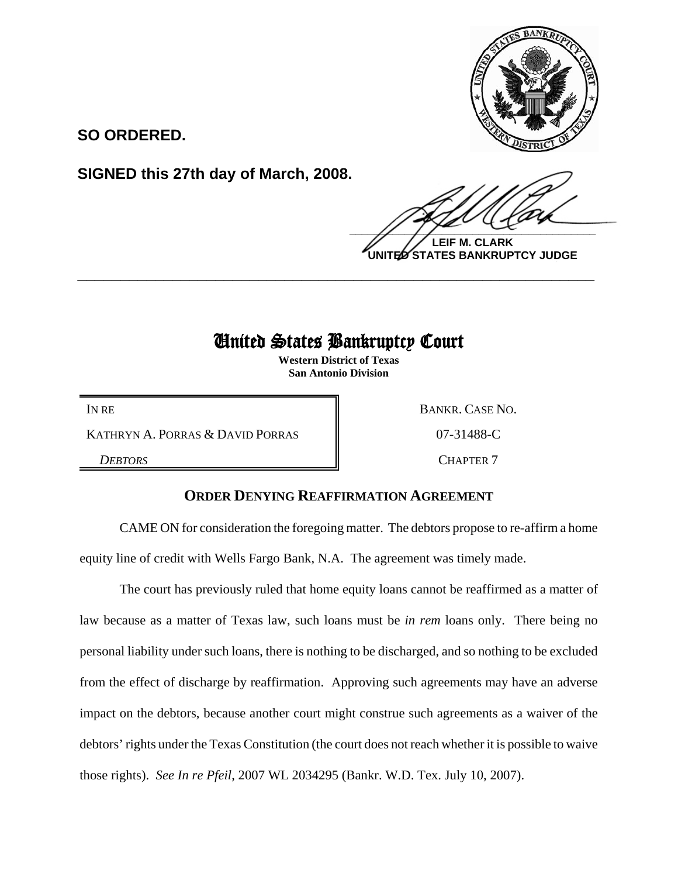

**SO ORDERED.**

**SIGNED this 27th day of March, 2008.**

 $\frac{1}{2}$ 

**LEIF M. CLARK UNITED STATES BANKRUPTCY JUDGE**

## United States Bankruptcy Court

**\_\_\_\_\_\_\_\_\_\_\_\_\_\_\_\_\_\_\_\_\_\_\_\_\_\_\_\_\_\_\_\_\_\_\_\_\_\_\_\_\_\_\_\_\_\_\_\_\_\_\_\_\_\_\_\_\_\_\_\_**

**Western District of Texas San Antonio Division**

IN RE BANKR. CASE NO.

KATHRYN A. PORRAS & DAVID PORRAS 8 07-31488-C

**DEBTORS** CHAPTER 7

## **ORDER DENYING REAFFIRMATION AGREEMENT**

CAME ON for consideration the foregoing matter. The debtors propose to re-affirm a home equity line of credit with Wells Fargo Bank, N.A. The agreement was timely made.

The court has previously ruled that home equity loans cannot be reaffirmed as a matter of law because as a matter of Texas law, such loans must be *in rem* loans only. There being no personal liability under such loans, there is nothing to be discharged, and so nothing to be excluded from the effect of discharge by reaffirmation. Approving such agreements may have an adverse impact on the debtors, because another court might construe such agreements as a waiver of the debtors' rights under the Texas Constitution (the court does not reach whether it is possible to waive those rights). *See In re Pfeil*, 2007 WL 2034295 (Bankr. W.D. Tex. July 10, 2007).